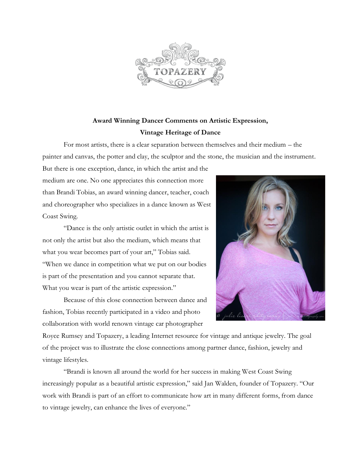

## **Award Winning Dancer Comments on Artistic Expression, Vintage Heritage of Dance**

For most artists, there is a clear separation between themselves and their medium – the painter and canvas, the potter and clay, the sculptor and the stone, the musician and the instrument.

But there is one exception, dance, in which the artist and the medium are one. No one appreciates this connection more than Brandi Tobias, an award winning dancer, teacher, coach and choreographer who specializes in a dance known as West Coast Swing.

"Dance is the only artistic outlet in which the artist is not only the artist but also the medium, which means that what you wear becomes part of your art," Tobias said. "When we dance in competition what we put on our bodies is part of the presentation and you cannot separate that. What you wear is part of the artistic expression."

Because of this close connection between dance and fashion, Tobias recently participated in a video and photo collaboration with world renown vintage car photographer



Royce Rumsey and Topazery, a leading Internet resource for vintage and antique jewelry. The goal of the project was to illustrate the close connections among partner dance, fashion, jewelry and vintage lifestyles.

"Brandi is known all around the world for her success in making West Coast Swing increasingly popular as a beautiful artistic expression," said Jan Walden, founder of Topazery. "Our work with Brandi is part of an effort to communicate how art in many different forms, from dance to vintage jewelry, can enhance the lives of everyone."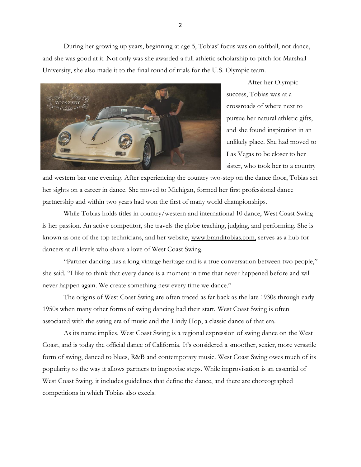During her growing up years, beginning at age 5, Tobias' focus was on softball, not dance, and she was good at it. Not only was she awarded a full athletic scholarship to pitch for Marshall University, she also made it to the final round of trials for the U.S. Olympic team.



After her Olympic success, Tobias was at a crossroads of where next to pursue her natural athletic gifts, and she found inspiration in an unlikely place. She had moved to Las Vegas to be closer to her sister, who took her to a country

and western bar one evening. After experiencing the country two-step on the dance floor, Tobias set her sights on a career in dance. She moved to Michigan, formed her first professional dance partnership and within two years had won the first of many world championships.

While Tobias holds titles in country/western and international 10 dance, West Coast Swing is her passion. An active competitor, she travels the globe teaching, judging, and performing. She is known as one of the top technicians, and her website, [www.branditobias.com,](http://www.branditobias.com/) serves as a hub for dancers at all levels who share a love of West Coast Swing.

"Partner dancing has a long vintage heritage and is a true conversation between two people," she said. "I like to think that every dance is a moment in time that never happened before and will never happen again. We create something new every time we dance."

The origins of West Coast Swing are often traced as far back as the late 1930s through early 1950s when many other forms of swing dancing had their start. West Coast Swing is often associated with the swing era of music and the Lindy Hop, a classic dance of that era.

As its name implies, West Coast Swing is a regional expression of swing dance on the West Coast, and is today the official dance of California. It's considered a smoother, sexier, more versatile form of swing, danced to blues, R&B and contemporary music. West Coast Swing owes much of its popularity to the way it allows partners to improvise steps. While improvisation is an essential of West Coast Swing, it includes guidelines that define the dance, and there are choreographed competitions in which Tobias also excels.

2